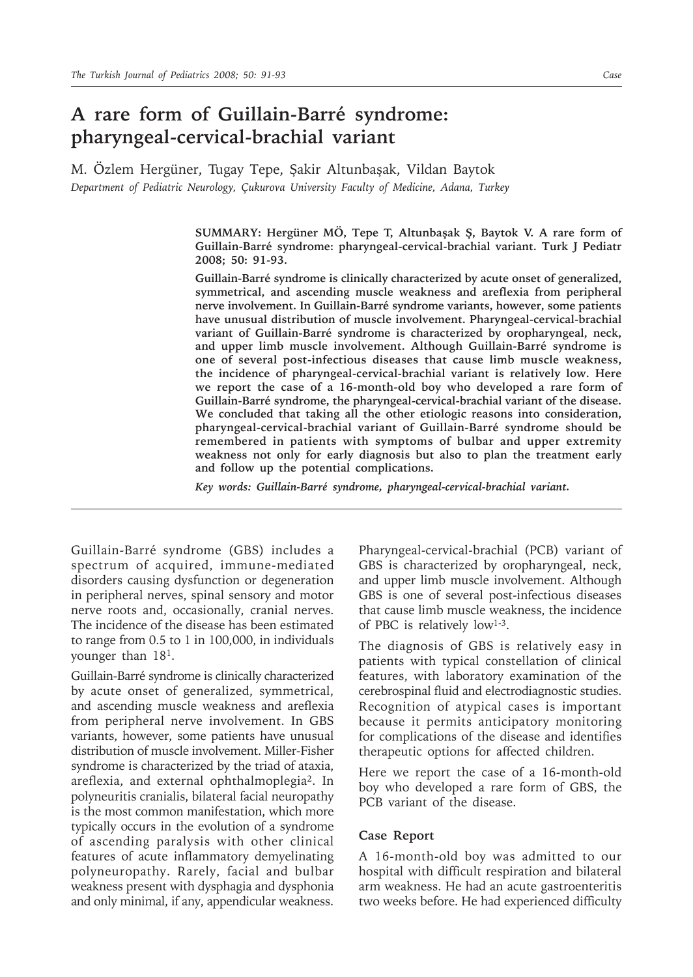## **A rare form of Guillain-Barré syndrome: pharyngeal-cervical-brachial variant**

M. Özlem Hergüner, Tugay Tepe, Şakir Altunbaşak, Vildan Baytok *Department of Pediatric Neurology, Çukurova University Faculty of Medicine, Adana, Turkey*

> **SUMMARY: Hergüner MÖ, Tepe T, Altunbaşak Ş, Baytok V. A rare form of Guillain-Barré syndrome: pharyngeal-cervical-brachial variant. Turk J Pediatr 2008; 50: 91-93.**

> **Guillain-Barré syndrome is clinically characterized by acute onset of generalized, symmetrical, and ascending muscle weakness and areflexia from peripheral nerve involvement. In Guillain-Barré syndrome variants, however, some patients have unusual distribution of muscle involvement. Pharyngeal-cervical-brachial variant of Guillain-Barré syndrome is characterized by oropharyngeal, neck, and upper limb muscle involvement. Although Guillain-Barré syndrome is one of several post-infectious diseases that cause limb muscle weakness, the incidence of pharyngeal-cervical-brachial variant is relatively low. Here we report the case of a 16-month-old boy who developed a rare form of Guillain-Barré syndrome, the pharyngeal-cervical-brachial variant of the disease. We concluded that taking all the other etiologic reasons into consideration, pharyngeal-cervical-brachial variant of Guillain-Barré syndrome should be remembered in patients with symptoms of bulbar and upper extremity weakness not only for early diagnosis but also to plan the treatment early and follow up the potential complications.**

*Key words: Guillain-Barré syndrome, pharyngeal-cervical-brachial variant.*

Guillain-Barré syndrome (GBS) includes a spectrum of acquired, immune-mediated disorders causing dysfunction or degeneration in peripheral nerves, spinal sensory and motor nerve roots and, occasionally, cranial nerves. The incidence of the disease has been estimated to range from 0.5 to 1 in 100,000, in individuals younger than 181.

Guillain-Barré syndrome is clinically characterized by acute onset of generalized, symmetrical, and ascending muscle weakness and areflexia from peripheral nerve involvement. In GBS variants, however, some patients have unusual distribution of muscle involvement. Miller-Fisher syndrome is characterized by the triad of ataxia, areflexia, and external ophthalmoplegia2. In polyneuritis cranialis, bilateral facial neuropathy is the most common manifestation, which more typically occurs in the evolution of a syndrome of ascending paralysis with other clinical features of acute inflammatory demyelinating polyneuropathy. Rarely, facial and bulbar weakness present with dysphagia and dysphonia and only minimal, if any, appendicular weakness.

Pharyngeal-cervical-brachial (PCB) variant of GBS is characterized by oropharyngeal, neck, and upper limb muscle involvement. Although GBS is one of several post-infectious diseases that cause limb muscle weakness, the incidence of PBC is relatively low1-3.

The diagnosis of GBS is relatively easy in patients with typical constellation of clinical features, with laboratory examination of the cerebrospinal fluid and electrodiagnostic studies. Recognition of atypical cases is important because it permits anticipatory monitoring for complications of the disease and identifies therapeutic options for affected children.

Here we report the case of a 16-month-old boy who developed a rare form of GBS, the PCB variant of the disease.

## **Case Report**

A 16-month-old boy was admitted to our hospital with difficult respiration and bilateral arm weakness. He had an acute gastroenteritis two weeks before. He had experienced difficulty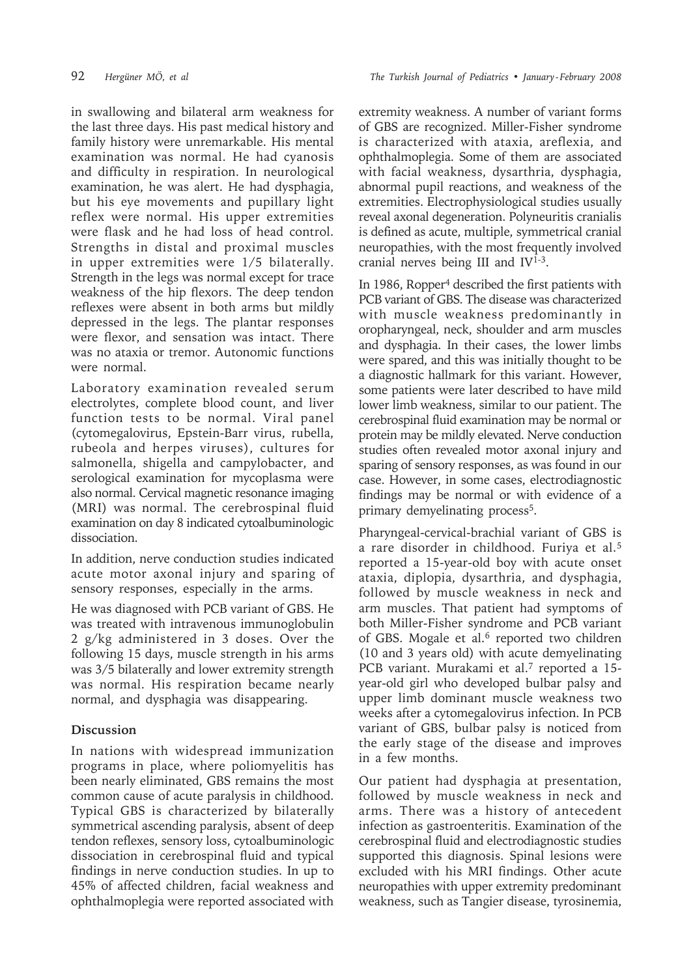in swallowing and bilateral arm weakness for the last three days. His past medical history and family history were unremarkable. His mental examination was normal. He had cyanosis and difficulty in respiration. In neurological examination, he was alert. He had dysphagia, but his eye movements and pupillary light reflex were normal. His upper extremities were flask and he had loss of head control. Strengths in distal and proximal muscles in upper extremities were 1/5 bilaterally. Strength in the legs was normal except for trace weakness of the hip flexors. The deep tendon reflexes were absent in both arms but mildly depressed in the legs. The plantar responses were flexor, and sensation was intact. There was no ataxia or tremor. Autonomic functions were normal.

Laboratory examination revealed serum electrolytes, complete blood count, and liver function tests to be normal. Viral panel (cytomegalovirus, Epstein-Barr virus, rubella, rubeola and herpes viruses), cultures for salmonella, shigella and campylobacter, and serological examination for mycoplasma were also normal. Cervical magnetic resonance imaging (MRI) was normal. The cerebrospinal fluid examination on day 8 indicated cytoalbuminologic dissociation.

In addition, nerve conduction studies indicated acute motor axonal injury and sparing of sensory responses, especially in the arms.

He was diagnosed with PCB variant of GBS. He was treated with intravenous immunoglobulin 2 g/kg administered in 3 doses. Over the following 15 days, muscle strength in his arms was 3/5 bilaterally and lower extremity strength was normal. His respiration became nearly normal, and dysphagia was disappearing.

## **Discussion**

In nations with widespread immunization programs in place, where poliomyelitis has been nearly eliminated, GBS remains the most common cause of acute paralysis in childhood. Typical GBS is characterized by bilaterally symmetrical ascending paralysis, absent of deep tendon reflexes, sensory loss, cytoalbuminologic dissociation in cerebrospinal fluid and typical findings in nerve conduction studies. In up to 45% of affected children, facial weakness and ophthalmoplegia were reported associated with

extremity weakness. A number of variant forms of GBS are recognized. Miller-Fisher syndrome is characterized with ataxia, areflexia, and ophthalmoplegia. Some of them are associated with facial weakness, dysarthria, dysphagia, abnormal pupil reactions, and weakness of the extremities. Electrophysiological studies usually reveal axonal degeneration. Polyneuritis cranialis is defined as acute, multiple, symmetrical cranial neuropathies, with the most frequently involved cranial nerves being III and IV<sup>1-3</sup>.

In 1986, Ropper4 described the first patients with PCB variant of GBS. The disease was characterized with muscle weakness predominantly in oropharyngeal, neck, shoulder and arm muscles and dysphagia. In their cases, the lower limbs were spared, and this was initially thought to be a diagnostic hallmark for this variant. However, some patients were later described to have mild lower limb weakness, similar to our patient. The cerebrospinal fluid examination may be normal or protein may be mildly elevated. Nerve conduction studies often revealed motor axonal injury and sparing of sensory responses, as was found in our case. However, in some cases, electrodiagnostic findings may be normal or with evidence of a primary demyelinating process<sup>5</sup>.

Pharyngeal-cervical-brachial variant of GBS is a rare disorder in childhood. Furiya et al.5 reported a 15-year-old boy with acute onset ataxia, diplopia, dysarthria, and dysphagia, followed by muscle weakness in neck and arm muscles. That patient had symptoms of both Miller-Fisher syndrome and PCB variant of GBS. Mogale et al.<sup>6</sup> reported two children (10 and 3 years old) with acute demyelinating PCB variant. Murakami et al.<sup>7</sup> reported a 15year-old girl who developed bulbar palsy and upper limb dominant muscle weakness two weeks after a cytomegalovirus infection. In PCB variant of GBS, bulbar palsy is noticed from the early stage of the disease and improves in a few months.

Our patient had dysphagia at presentation, followed by muscle weakness in neck and arms. There was a history of antecedent infection as gastroenteritis. Examination of the cerebrospinal fluid and electrodiagnostic studies supported this diagnosis. Spinal lesions were excluded with his MRI findings. Other acute neuropathies with upper extremity predominant weakness, such as Tangier disease, tyrosinemia,